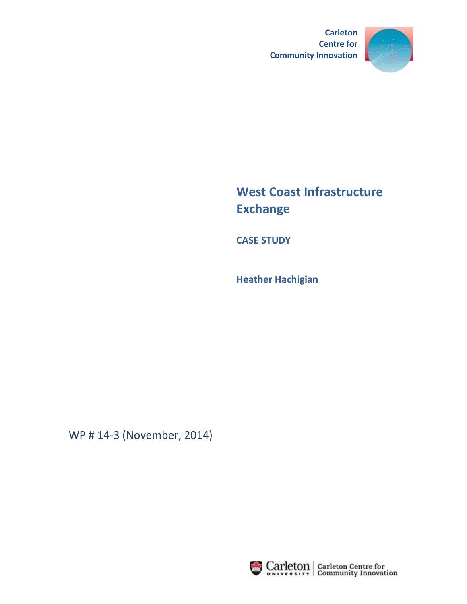



# **West Coast Infrastructure Exchange**

**CASE STUDY**

**Heather Hachigian**

WP # 14-3 (November, 2014)

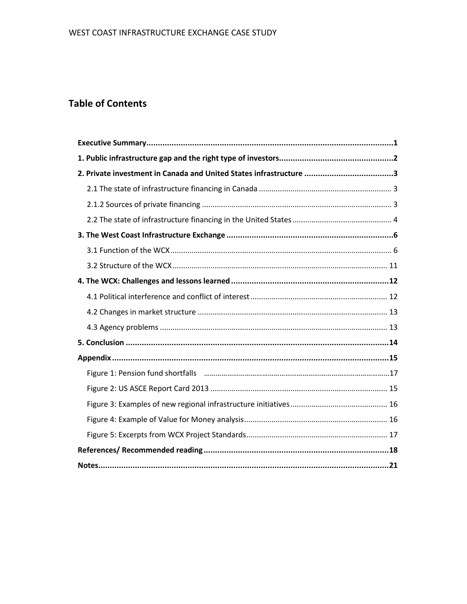# **Table of Contents**

| 2. Private investment in Canada and United States infrastructure 3 |
|--------------------------------------------------------------------|
|                                                                    |
|                                                                    |
|                                                                    |
|                                                                    |
|                                                                    |
|                                                                    |
|                                                                    |
|                                                                    |
|                                                                    |
|                                                                    |
|                                                                    |
|                                                                    |
|                                                                    |
|                                                                    |
|                                                                    |
|                                                                    |
|                                                                    |
|                                                                    |
|                                                                    |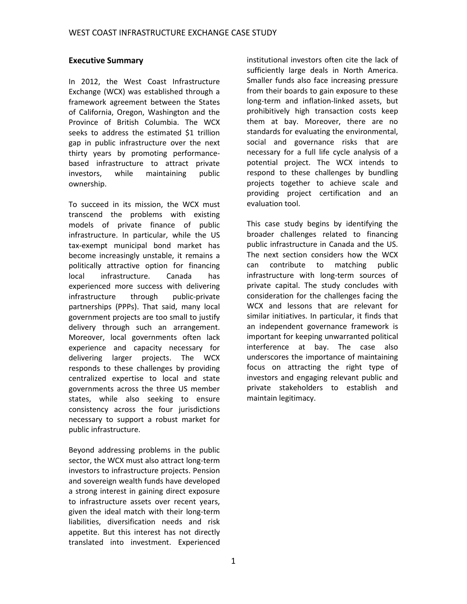#### **Executive Summary**

In 2012, the West Coast Infrastructure Exchange (WCX) was established through a framework agreement between the States of California, Oregon, Washington and the Province of British Columbia. The WCX seeks to address the estimated \$1 trillion gap in public infrastructure over the next thirty years by promoting performancebased infrastructure to attract private investors, while maintaining public ownership.

To succeed in its mission, the WCX must transcend the problems with existing models of private finance of public infrastructure. In particular, while the US tax-exempt municipal bond market has become increasingly unstable, it remains a politically attractive option for financing local infrastructure. Canada has experienced more success with delivering infrastructure through public-private partnerships (PPPs). That said, many local government projects are too small to justify delivery through such an arrangement. Moreover, local governments often lack experience and capacity necessary for delivering larger projects. The WCX responds to these challenges by providing centralized expertise to local and state governments across the three US member states, while also seeking to ensure consistency across the four jurisdictions necessary to support a robust market for public infrastructure.

Beyond addressing problems in the public sector, the WCX must also attract long-term investors to infrastructure projects. Pension and sovereign wealth funds have developed a strong interest in gaining direct exposure to infrastructure assets over recent years, given the ideal match with their long-term liabilities, diversification needs and risk appetite. But this interest has not directly translated into investment. Experienced

institutional investors often cite the lack of sufficiently large deals in North America. Smaller funds also face increasing pressure from their boards to gain exposure to these long-term and inflation-linked assets, but prohibitively high transaction costs keep them at bay. Moreover, there are no standards for evaluating the environmental, social and governance risks that are necessary for a full life cycle analysis of a potential project. The WCX intends to respond to these challenges by bundling projects together to achieve scale and providing project certification and an evaluation tool.

This case study begins by identifying the broader challenges related to financing public infrastructure in Canada and the US. The next section considers how the WCX can contribute to matching public infrastructure with long-term sources of private capital. The study concludes with consideration for the challenges facing the WCX and lessons that are relevant for similar initiatives. In particular, it finds that an independent governance framework is important for keeping unwarranted political interference at bay. The case also underscores the importance of maintaining focus on attracting the right type of investors and engaging relevant public and private stakeholders to establish and maintain legitimacy.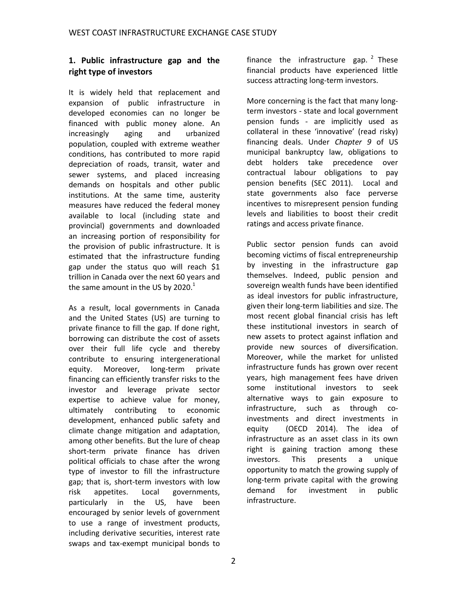## **1. Public infrastructure gap and the right type of investors**

It is widely held that replacement and expansion of public infrastructure in developed economies can no longer be financed with public money alone. An increasingly aging and urbanized population, coupled with extreme weather conditions, has contributed to more rapid depreciation of roads, transit, water and sewer systems, and placed increasing demands on hospitals and other public institutions. At the same time, austerity measures have reduced the federal money available to local (including state and provincial) governments and downloaded an increasing portion of responsibility for the provision of public infrastructure. It is estimated that the infrastructure funding gap under the status quo will reach \$1 trillion in Canada over the next 60 years and the same amount in the US by 2020. $^1$ 

As a result, local governments in Canada and the United States (US) are turning to private finance to fill the gap. If done right, borrowing can distribute the cost of assets over their full life cycle and thereby contribute to ensuring intergenerational equity. Moreover, long-term private financing can efficiently transfer risks to the investor and leverage private sector expertise to achieve value for money, ultimately contributing to economic development, enhanced public safety and climate change mitigation and adaptation, among other benefits. But the lure of cheap short-term private finance has driven political officials to chase after the wrong type of investor to fill the infrastructure gap; that is, short-term investors with low risk appetites. Local governments, particularly in the US, have been encouraged by senior levels of government to use a range of investment products, including derivative securities, interest rate swaps and tax-exempt municipal bonds to

finance the infrastructure gap.<sup>2</sup> These financial products have experienced little success attracting long-term investors.

More concerning is the fact that many longterm investors - state and local government pension funds - are implicitly used as collateral in these 'innovative' (read risky) financing deals. Under *Chapter 9* of US municipal bankruptcy law, obligations to debt holders take precedence over contractual labour obligations to pay pension benefits (SEC 2011). Local and state governments also face perverse incentives to misrepresent pension funding levels and liabilities to boost their credit ratings and access private finance.

Public sector pension funds can avoid becoming victims of fiscal entrepreneurship by investing in the infrastructure gap themselves. Indeed, public pension and sovereign wealth funds have been identified as ideal investors for public infrastructure, given their long-term liabilities and size. The most recent global financial crisis has left these institutional investors in search of new assets to protect against inflation and provide new sources of diversification. Moreover, while the market for unlisted infrastructure funds has grown over recent years, high management fees have driven some institutional investors to seek alternative ways to gain exposure to infrastructure, such as through coinvestments and direct investments in equity (OECD 2014). The idea of infrastructure as an asset class in its own right is gaining traction among these investors. This presents a unique opportunity to match the growing supply of long-term private capital with the growing demand for investment in public infrastructure.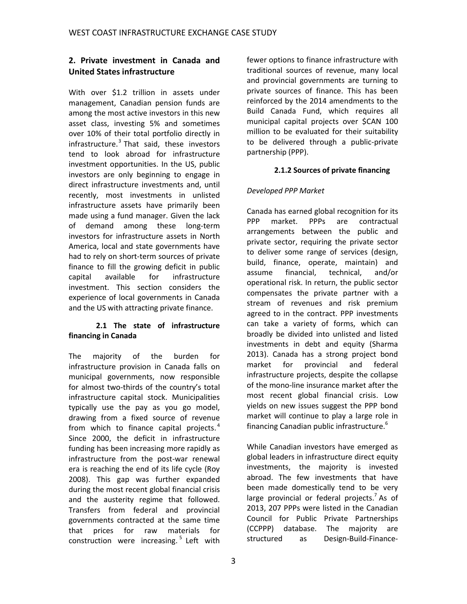## **2. Private investment in Canada and United States infrastructure**

With over \$1.2 trillion in assets under management, Canadian pension funds are among the most active investors in this new asset class, investing 5% and sometimes over 10% of their total portfolio directly in infrastructure. 3 That said, these investors tend to look abroad for infrastructure investment opportunities. In the US, public investors are only beginning to engage in direct infrastructure investments and, until recently, most investments in unlisted infrastructure assets have primarily been made using a fund manager. Given the lack of demand among these long-term investors for infrastructure assets in North America, local and state governments have had to rely on short-term sources of private finance to fill the growing deficit in public capital available for infrastructure investment. This section considers the experience of local governments in Canada and the US with attracting private finance.

#### **2.1 The state of infrastructure financing in Canada**

The majority of the burden for infrastructure provision in Canada falls on municipal governments, now responsible for almost two-thirds of the country's total infrastructure capital stock. Municipalities typically use the pay as you go model, drawing from a fixed source of revenue from which to finance capital projects.<sup>4</sup> Since 2000, the deficit in infrastructure funding has been increasing more rapidly as infrastructure from the post-war renewal era is reaching the end of its life cycle (Roy 2008). This gap was further expanded during the most recent global financial crisis and the austerity regime that followed. Transfers from federal and provincial governments contracted at the same time that prices for raw materials for construction were increasing. 5 Left with

fewer options to finance infrastructure with traditional sources of revenue, many local and provincial governments are turning to private sources of finance. This has been reinforced by the 2014 amendments to the Build Canada Fund, which requires all municipal capital projects over \$CAN 100 million to be evaluated for their suitability to be delivered through a public-private partnership (PPP).

#### **2.1.2 Sources of private financing**

#### *Developed PPP Market*

Canada has earned global recognition for its PPP market. PPPs are contractual arrangements between the public and private sector, requiring the private sector to deliver some range of services (design, build, finance, operate, maintain) and assume financial, technical, and/or operational risk. In return, the public sector compensates the private partner with a stream of revenues and risk premium agreed to in the contract. PPP investments can take a variety of forms, which can broadly be divided into unlisted and listed investments in debt and equity (Sharma 2013). Canada has a strong project bond market for provincial and federal infrastructure projects, despite the collapse of the mono-line insurance market after the most recent global financial crisis. Low yields on new issues suggest the PPP bond market will continue to play a large role in financing Canadian public infrastructure.<sup>6</sup>

While Canadian investors have emerged as global leaders in infrastructure direct equity investments, the majority is invested abroad. The few investments that have been made domestically tend to be very large provincial or federal projects.<sup>7</sup> As of 2013, 207 PPPs were listed in the Canadian Council for Public Private Partnerships (CCPPP) database. The majority are structured as Design-Build-Finance-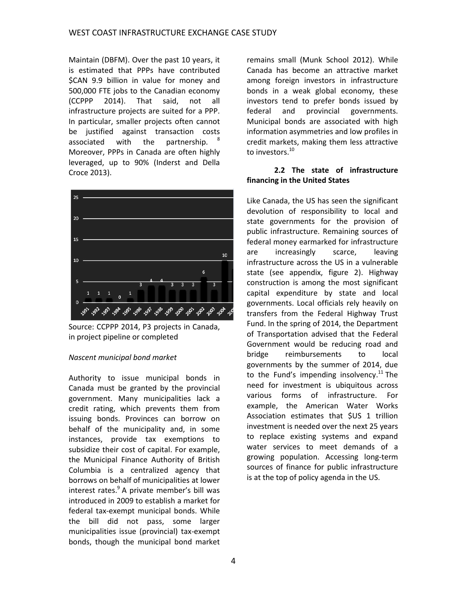Maintain (DBFM). Over the past 10 years, it is estimated that PPPs have contributed \$CAN 9.9 billion in value for money and 500,000 FTE jobs to the Canadian economy (CCPPP 2014). That said, not all infrastructure projects are suited for a PPP. In particular, smaller projects often cannot be justified against transaction costs associated with the partnership. Moreover, PPPs in Canada are often highly leveraged, up to 90% (Inderst and Della Croce 2013).



Source: CCPPP 2014, P3 projects in Canada, in project pipeline or completed

#### *Nascent municipal bond market*

Authority to issue municipal bonds in Canada must be granted by the provincial government. Many municipalities lack a credit rating, which prevents them from issuing bonds. Provinces can borrow on behalf of the municipality and, in some instances, provide tax exemptions to subsidize their cost of capital. For example, the Municipal Finance Authority of British Columbia is a centralized agency that borrows on behalf of municipalities at lower interest rates.<sup>9</sup> A private member's bill was introduced in 2009 to establish a market for federal tax-exempt municipal bonds. While the bill did not pass, some larger municipalities issue (provincial) tax-exempt bonds, though the municipal bond market

remains small (Munk School 2012). While Canada has become an attractive market among foreign investors in infrastructure bonds in a weak global economy, these investors tend to prefer bonds issued by federal and provincial governments. Municipal bonds are associated with high information asymmetries and low profiles in credit markets, making them less attractive to investors. 10

#### **2.2 The state of infrastructure financing in the United States**

Like Canada, the US has seen the significant devolution of responsibility to local and state governments for the provision of public infrastructure. Remaining sources of federal money earmarked for infrastructure are increasingly scarce, leaving infrastructure across the US in a vulnerable state (see appendix, figure 2). Highway construction is among the most significant capital expenditure by state and local governments. Local officials rely heavily on transfers from the Federal Highway Trust Fund. In the spring of 2014, the Department of Transportation advised that the Federal Government would be reducing road and bridge reimbursements to local governments by the summer of 2014, due to the Fund's impending insolvency.<sup>11</sup> The need for investment is ubiquitous across various forms of infrastructure. For example, the American Water Works Association estimates that \$US 1 trillion investment is needed over the next 25 years to replace existing systems and expand water services to meet demands of a growing population. Accessing long-term sources of finance for public infrastructure is at the top of policy agenda in the US.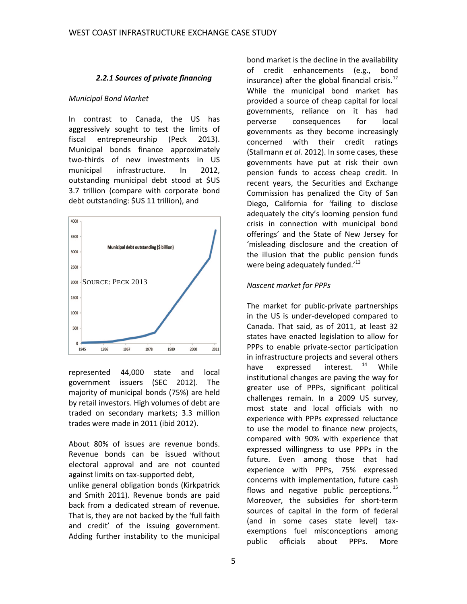#### *2.2.1 Sources of private financing*

#### *Municipal Bond Market*

In contrast to Canada, the US has aggressively sought to test the limits of fiscal entrepreneurship (Peck 2013). Municipal bonds finance approximately two-thirds of new investments in US municipal infrastructure. In 2012, outstanding municipal debt stood at \$US 3.7 trillion (compare with corporate bond debt outstanding: \$US 11 trillion), and



represented 44,000 state and local government issuers (SEC 2012). The majority of municipal bonds (75%) are held by retail investors. High volumes of debt are traded on secondary markets; 3.3 million trades were made in 2011 (ibid 2012).

About 80% of issues are revenue bonds. Revenue bonds can be issued without electoral approval and are not counted against limits on tax-supported debt, unlike general obligation bonds (Kirkpatrick and Smith 2011). Revenue bonds are paid back from a dedicated stream of revenue. That is, they are not backed by the 'full faith and credit' of the issuing government. Adding further instability to the municipal

bond market is the decline in the availability of credit enhancements (e.g., bond insurance) after the global financial crisis.<sup>12</sup> While the municipal bond market has provided a source of cheap capital for local governments, reliance on it has had perverse consequences for local governments as they become increasingly concerned with their credit ratings (Stallmann *et al.* 2012). In some cases, these governments have put at risk their own pension funds to access cheap credit. In recent years, the Securities and Exchange Commission has penalized the City of San Diego, California for 'failing to disclose adequately the city's looming pension fund crisis in connection with municipal bond offerings' and the State of New Jersey for 'misleading disclosure and the creation of the illusion that the public pension funds were being adequately funded.<sup>13</sup>

#### *Nascent market for PPPs*

The market for public-private partnerships in the US is under-developed compared to Canada. That said, as of 2011, at least 32 states have enacted legislation to allow for PPPs to enable private-sector participation in infrastructure projects and several others have expressed interest.  $14$  While institutional changes are paving the way for greater use of PPPs, significant political challenges remain. In a 2009 US survey, most state and local officials with no experience with PPPs expressed reluctance to use the model to finance new projects, compared with 90% with experience that expressed willingness to use PPPs in the future. Even among those that had experience with PPPs, 75% expressed concerns with implementation, future cash flows and negative public perceptions.<sup>15</sup> Moreover, the subsidies for short-term sources of capital in the form of federal (and in some cases state level) taxexemptions fuel misconceptions among public officials about PPPs. More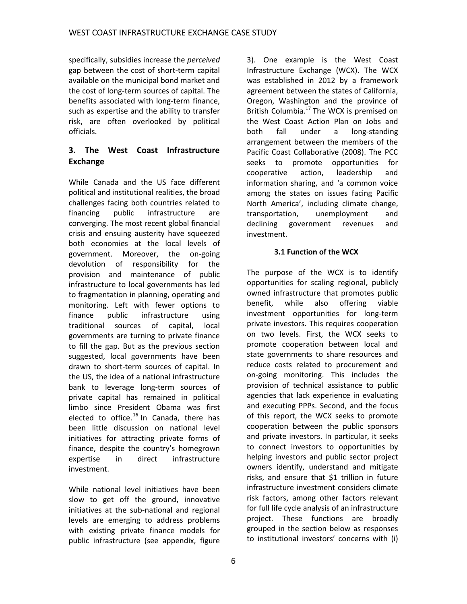specifically, subsidies increase the *perceived* gap between the cost of short-term capital available on the municipal bond market and the cost of long-term sources of capital. The benefits associated with long-term finance, such as expertise and the ability to transfer risk, are often overlooked by political officials.

#### **3. The West Coast Infrastructure Exchange**

While Canada and the US face different political and institutional realities, the broad challenges facing both countries related to financing public infrastructure are converging. The most recent global financial crisis and ensuing austerity have squeezed both economies at the local levels of government. Moreover, the on-going devolution of responsibility for the provision and maintenance of public infrastructure to local governments has led to fragmentation in planning, operating and monitoring. Left with fewer options to finance public infrastructure using traditional sources of capital, local governments are turning to private finance to fill the gap. But as the previous section suggested, local governments have been drawn to short-term sources of capital. In the US, the idea of a national infrastructure bank to leverage long-term sources of private capital has remained in political limbo since President Obama was first elected to office.<sup>16</sup> In Canada, there has been little discussion on national level initiatives for attracting private forms of finance, despite the country's homegrown expertise in direct infrastructure investment.

While national level initiatives have been slow to get off the ground, innovative initiatives at the sub-national and regional levels are emerging to address problems with existing private finance models for public infrastructure (see appendix, figure

3). One example is the West Coast Infrastructure Exchange (WCX). The WCX was established in 2012 by a framework agreement between the states of California, Oregon, Washington and the province of British Columbia.<sup>17</sup> The WCX is premised on the West Coast Action Plan on Jobs and both fall under a long-standing arrangement between the members of the Pacific Coast Collaborative (2008). The PCC seeks to promote opportunities for cooperative action, leadership and information sharing, and 'a common voice among the states on issues facing Pacific North America', including climate change, transportation, unemployment and declining government revenues and investment.

#### **3.1 Function of the WCX**

The purpose of the WCX is to identify opportunities for scaling regional, publicly owned infrastructure that promotes public benefit, while also offering viable investment opportunities for long-term private investors. This requires cooperation on two levels. First, the WCX seeks to promote cooperation between local and state governments to share resources and reduce costs related to procurement and on-going monitoring. This includes the provision of technical assistance to public agencies that lack experience in evaluating and executing PPPs. Second, and the focus of this report, the WCX seeks to promote cooperation between the public sponsors and private investors. In particular, it seeks to connect investors to opportunities by helping investors and public sector project owners identify, understand and mitigate risks, and ensure that \$1 trillion in future infrastructure investment considers climate risk factors, among other factors relevant for full life cycle analysis of an infrastructure project. These functions are broadly grouped in the section below as responses to institutional investors' concerns with (i)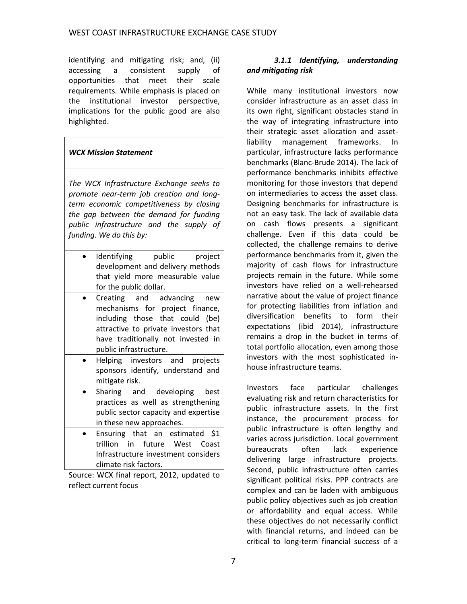identifying and mitigating risk; and, (ii) accessing a consistent supply of opportunities that meet their scale requirements. While emphasis is placed on the institutional investor perspective, implications for the public good are also highlighted.

#### *WCX Mission Statement*

*The WCX Infrastructure Exchange seeks to promote near-term job creation and longterm economic competitiveness by closing the gap between the demand for funding public infrastructure and the supply of funding. We do this by:*

- Identifying public project development and delivery methods that yield more measurable value for the public dollar.
- Creating and advancing new mechanisms for project finance, including those that could (be) attractive to private investors that have traditionally not invested in public infrastructure.
- Helping investors and projects sponsors identify, understand and mitigate risk.
- Sharing and developing best practices as well as strengthening public sector capacity and expertise in these new approaches.
- Ensuring that an estimated \$1 trillion in future West Coast Infrastructure investment considers climate risk factors.

Source: WCX final report, 2012, updated to reflect current focus

#### *3.1.1 Identifying, understanding and mitigating risk*

While many institutional investors now consider infrastructure as an asset class in its own right, significant obstacles stand in the way of integrating infrastructure into their strategic asset allocation and assetliability management frameworks. In particular, infrastructure lacks performance benchmarks (Blanc-Brude 2014). The lack of performance benchmarks inhibits effective monitoring for those investors that depend on intermediaries to access the asset class. Designing benchmarks for infrastructure is not an easy task. The lack of available data on cash flows presents a significant challenge. Even if this data could be collected, the challenge remains to derive performance benchmarks from it, given the majority of cash flows for infrastructure projects remain in the future. While some investors have relied on a well-rehearsed narrative about the value of project finance for protecting liabilities from inflation and diversification benefits to form their expectations (ibid 2014), infrastructure remains a drop in the bucket in terms of total portfolio allocation, even among those investors with the most sophisticated inhouse infrastructure teams.

Investors face particular challenges evaluating risk and return characteristics for public infrastructure assets. In the first instance, the procurement process for public infrastructure is often lengthy and varies across jurisdiction. Local government bureaucrats often lack experience delivering large infrastructure projects. Second, public infrastructure often carries significant political risks. PPP contracts are complex and can be laden with ambiguous public policy objectives such as job creation or affordability and equal access. While these objectives do not necessarily conflict with financial returns, and indeed can be critical to long-term financial success of a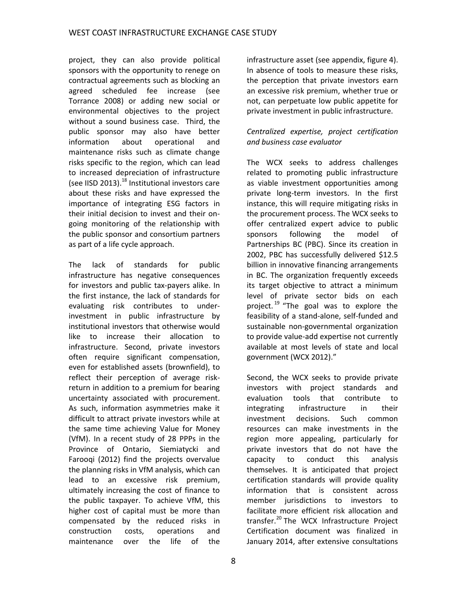project, they can also provide political sponsors with the opportunity to renege on contractual agreements such as blocking an agreed scheduled fee increase (see Torrance 2008) or adding new social or environmental objectives to the project without a sound business case. Third, the public sponsor may also have better information about operational and maintenance risks such as climate change risks specific to the region, which can lead to increased depreciation of infrastructure (see IISD 2013).<sup>18</sup> Institutional investors care about these risks and have expressed the importance of integrating ESG factors in their initial decision to invest and their ongoing monitoring of the relationship with the public sponsor and consortium partners as part of a life cycle approach.

The lack of standards for public infrastructure has negative consequences for investors and public tax-payers alike. In the first instance, the lack of standards for evaluating risk contributes to underinvestment in public infrastructure by institutional investors that otherwise would like to increase their allocation to infrastructure. Second, private investors often require significant compensation, even for established assets (brownfield), to reflect their perception of average riskreturn in addition to a premium for bearing uncertainty associated with procurement. As such, information asymmetries make it difficult to attract private investors while at the same time achieving Value for Money (VfM). In a recent study of 28 PPPs in the Province of Ontario, Siemiatycki and Farooqi (2012) find the projects overvalue the planning risks in VfM analysis, which can lead to an excessive risk premium, ultimately increasing the cost of finance to the public taxpayer. To achieve VfM, this higher cost of capital must be more than compensated by the reduced risks in construction costs, operations and maintenance over the life of the

8

infrastructure asset (see appendix, figure 4). In absence of tools to measure these risks, the perception that private investors earn an excessive risk premium, whether true or not, can perpetuate low public appetite for private investment in public infrastructure.

#### *Centralized expertise, project certification and business case evaluator*

The WCX seeks to address challenges related to promoting public infrastructure as viable investment opportunities among private long-term investors. In the first instance, this will require mitigating risks in the procurement process. The WCX seeks to offer centralized expert advice to public sponsors following the model of Partnerships BC (PBC). Since its creation in 2002, PBC has successfully delivered \$12.5 billion in innovative financing arrangements in BC. The organization frequently exceeds its target objective to attract a minimum level of private sector bids on each project.<sup>19</sup> "The goal was to explore the feasibility of a stand-alone, self-funded and sustainable non-governmental organization to provide value-add expertise not currently available at most levels of state and local government (WCX 2012)."

Second, the WCX seeks to provide private investors with project standards and evaluation tools that contribute to integrating infrastructure in their investment decisions. Such common resources can make investments in the region more appealing, particularly for private investors that do not have the capacity to conduct this analysis themselves. It is anticipated that project certification standards will provide quality information that is consistent across member jurisdictions to investors to facilitate more efficient risk allocation and transfer.<sup>20</sup> The WCX Infrastructure Project Certification document was finalized in January 2014, after extensive consultations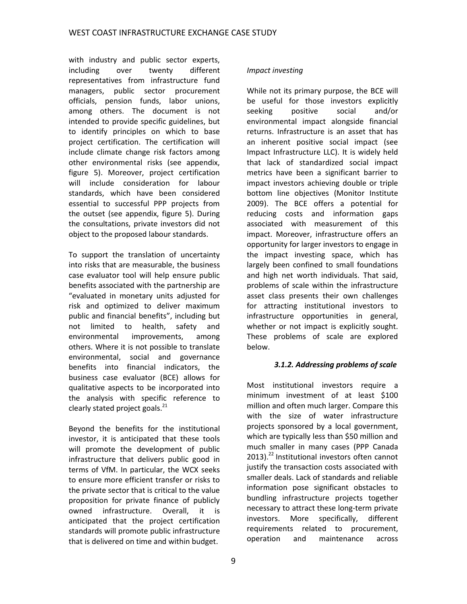with industry and public sector experts, including over twenty different representatives from infrastructure fund managers, public sector procurement officials, pension funds, labor unions, among others. The document is not intended to provide specific guidelines, but to identify principles on which to base project certification. The certification will include climate change risk factors among other environmental risks (see appendix, figure 5). Moreover, project certification will include consideration for labour standards, which have been considered essential to successful PPP projects from the outset (see appendix, figure 5). During the consultations, private investors did not object to the proposed labour standards.

To support the translation of uncertainty into risks that are measurable, the business case evaluator tool will help ensure public benefits associated with the partnership are "evaluated in monetary units adjusted for risk and optimized to deliver maximum public and financial benefits", including but not limited to health, safety and environmental improvements, among others. Where it is not possible to translate environmental, social and governance benefits into financial indicators, the business case evaluator (BCE) allows for qualitative aspects to be incorporated into the analysis with specific reference to clearly stated project goals. $^{21}$ 

Beyond the benefits for the institutional investor, it is anticipated that these tools will promote the development of public infrastructure that delivers public good in terms of VfM. In particular, the WCX seeks to ensure more efficient transfer or risks to the private sector that is critical to the value proposition for private finance of publicly owned infrastructure. Overall, it is anticipated that the project certification standards will promote public infrastructure that is delivered on time and within budget.

#### *Impact investing*

While not its primary purpose, the BCE will be useful for those investors explicitly seeking positive social and/or environmental impact alongside financial returns. Infrastructure is an asset that has an inherent positive social impact (see Impact Infrastructure LLC). It is widely held that lack of standardized social impact metrics have been a significant barrier to impact investors achieving double or triple bottom line objectives (Monitor Institute 2009). The BCE offers a potential for reducing costs and information gaps associated with measurement of this impact. Moreover, infrastructure offers an opportunity for larger investors to engage in the impact investing space, which has largely been confined to small foundations and high net worth individuals. That said, problems of scale within the infrastructure asset class presents their own challenges for attracting institutional investors to infrastructure opportunities in general, whether or not impact is explicitly sought. These problems of scale are explored below.

#### *3.1.2. Addressing problems of scale*

Most institutional investors require a minimum investment of at least \$100 million and often much larger. Compare this with the size of water infrastructure projects sponsored by a local government, which are typically less than \$50 million and much smaller in many cases (PPP Canada 2013). <sup>22</sup> Institutional investors often cannot justify the transaction costs associated with smaller deals. Lack of standards and reliable information pose significant obstacles to bundling infrastructure projects together necessary to attract these long-term private investors. More specifically, different requirements related to procurement, operation and maintenance across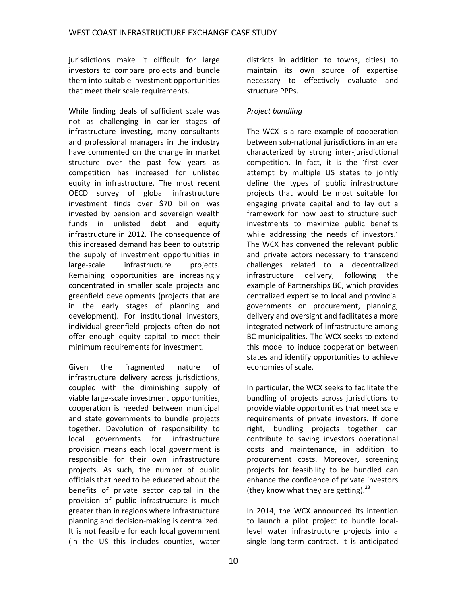jurisdictions make it difficult for large investors to compare projects and bundle them into suitable investment opportunities that meet their scale requirements.

While finding deals of sufficient scale was not as challenging in earlier stages of infrastructure investing, many consultants and professional managers in the industry have commented on the change in market structure over the past few years as competition has increased for unlisted equity in infrastructure. The most recent OECD survey of global infrastructure investment finds over \$70 billion was invested by pension and sovereign wealth funds in unlisted debt and equity infrastructure in 2012. The consequence of this increased demand has been to outstrip the supply of investment opportunities in large-scale infrastructure projects. Remaining opportunities are increasingly concentrated in smaller scale projects and greenfield developments (projects that are in the early stages of planning and development). For institutional investors, individual greenfield projects often do not offer enough equity capital to meet their minimum requirements for investment.

Given the fragmented nature of infrastructure delivery across jurisdictions, coupled with the diminishing supply of viable large-scale investment opportunities, cooperation is needed between municipal and state governments to bundle projects together. Devolution of responsibility to local governments for infrastructure provision means each local government is responsible for their own infrastructure projects. As such, the number of public officials that need to be educated about the benefits of private sector capital in the provision of public infrastructure is much greater than in regions where infrastructure planning and decision-making is centralized. It is not feasible for each local government (in the US this includes counties, water

districts in addition to towns, cities) to maintain its own source of expertise necessary to effectively evaluate and structure PPPs.

#### *Project bundling*

The WCX is a rare example of cooperation between sub-national jurisdictions in an era characterized by strong inter-jurisdictional competition. In fact, it is the 'first ever attempt by multiple US states to jointly define the types of public infrastructure projects that would be most suitable for engaging private capital and to lay out a framework for how best to structure such investments to maximize public benefits while addressing the needs of investors.' The WCX has convened the relevant public and private actors necessary to transcend challenges related to a decentralized infrastructure delivery, following the example of Partnerships BC, which provides centralized expertise to local and provincial governments on procurement, planning, delivery and oversight and facilitates a more integrated network of infrastructure among BC municipalities. The WCX seeks to extend this model to induce cooperation between states and identify opportunities to achieve economies of scale.

In particular, the WCX seeks to facilitate the bundling of projects across jurisdictions to provide viable opportunities that meet scale requirements of private investors. If done right, bundling projects together can contribute to saving investors operational costs and maintenance, in addition to procurement costs. Moreover, screening projects for feasibility to be bundled can enhance the confidence of private investors (they know what they are getting). $^{23}$ 

In 2014, the WCX announced its intention to launch a pilot project to bundle locallevel water infrastructure projects into a single long-term contract. It is anticipated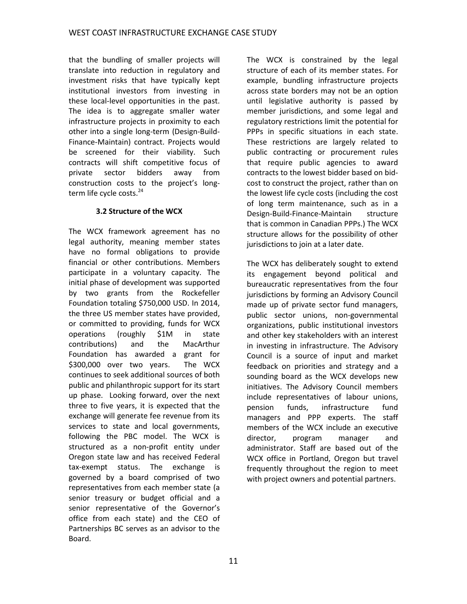that the bundling of smaller projects will translate into reduction in regulatory and investment risks that have typically kept institutional investors from investing in these local-level opportunities in the past. The idea is to aggregate smaller water infrastructure projects in proximity to each other into a single long-term (Design-Build-Finance-Maintain) contract. Projects would be screened for their viability. Such contracts will shift competitive focus of private sector bidders away from construction costs to the project's longterm life cycle costs.<sup>24</sup>

#### **3.2 Structure of the WCX**

The WCX framework agreement has no legal authority, meaning member states have no formal obligations to provide financial or other contributions. Members participate in a voluntary capacity. The initial phase of development was supported by two grants from the Rockefeller Foundation totaling \$750,000 USD. In 2014, the three US member states have provided, or committed to providing, funds for WCX operations (roughly \$1M in state contributions) and the MacArthur Foundation has awarded a grant for \$300,000 over two years. The WCX continues to seek additional sources of both public and philanthropic support for its start up phase. Looking forward, over the next three to five years, it is expected that the exchange will generate fee revenue from its services to state and local governments, following the PBC model. The WCX is structured as a non-profit entity under Oregon state law and has received Federal tax-exempt status. The exchange is governed by a board comprised of two representatives from each member state (a senior treasury or budget official and a senior representative of the Governor's office from each state) and the CEO of Partnerships BC serves as an advisor to the Board.

The WCX is constrained by the legal structure of each of its member states. For example, bundling infrastructure projects across state borders may not be an option until legislative authority is passed by member jurisdictions, and some legal and regulatory restrictions limit the potential for PPPs in specific situations in each state. These restrictions are largely related to public contracting or procurement rules that require public agencies to award contracts to the lowest bidder based on bidcost to construct the project, rather than on the lowest life cycle costs (including the cost of long term maintenance, such as in a Design-Build-Finance-Maintain structure that is common in Canadian PPPs.) The WCX structure allows for the possibility of other jurisdictions to join at a later date.

The WCX has deliberately sought to extend its engagement beyond political and bureaucratic representatives from the four jurisdictions by forming an Advisory Council made up of private sector fund managers, public sector unions, non-governmental organizations, public institutional investors and other key stakeholders with an interest in investing in infrastructure. The Advisory Council is a source of input and market feedback on priorities and strategy and a sounding board as the WCX develops new initiatives. The Advisory Council members include representatives of labour unions, pension funds, infrastructure fund managers and PPP experts. The staff members of the WCX include an executive director, program manager and administrator. Staff are based out of the WCX office in Portland, Oregon but travel frequently throughout the region to meet with project owners and potential partners.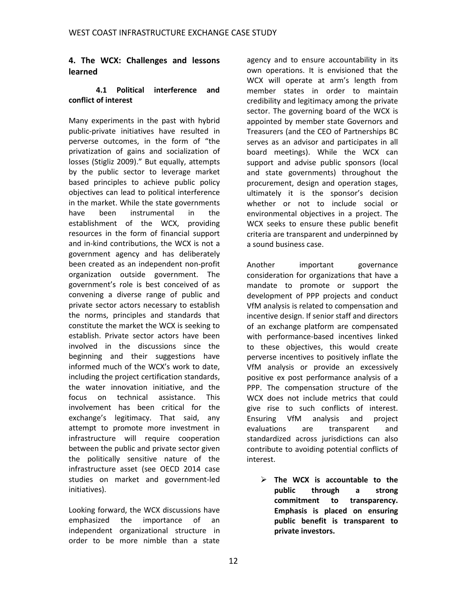#### **4. The WCX: Challenges and lessons learned**

#### **4.1 Political interference and conflict of interest**

Many experiments in the past with hybrid public-private initiatives have resulted in perverse outcomes, in the form of "the privatization of gains and socialization of losses (Stigliz 2009)." But equally, attempts by the public sector to leverage market based principles to achieve public policy objectives can lead to political interference in the market. While the state governments have been instrumental in the establishment of the WCX, providing resources in the form of financial support and in-kind contributions, the WCX is not a government agency and has deliberately been created as an independent non-profit organization outside government. The government's role is best conceived of as convening a diverse range of public and private sector actors necessary to establish the norms, principles and standards that constitute the market the WCX is seeking to establish. Private sector actors have been involved in the discussions since the beginning and their suggestions have informed much of the WCX's work to date, including the project certification standards, the water innovation initiative, and the focus on technical assistance. This involvement has been critical for the exchange's legitimacy. That said, any attempt to promote more investment in infrastructure will require cooperation between the public and private sector given the politically sensitive nature of the infrastructure asset (see OECD 2014 case studies on market and government-led initiatives).

Looking forward, the WCX discussions have emphasized the importance of an independent organizational structure in order to be more nimble than a state

agency and to ensure accountability in its own operations. It is envisioned that the WCX will operate at arm's length from member states in order to maintain credibility and legitimacy among the private sector. The governing board of the WCX is appointed by member state Governors and Treasurers (and the CEO of Partnerships BC serves as an advisor and participates in all board meetings). While the WCX can support and advise public sponsors (local and state governments) throughout the procurement, design and operation stages, ultimately it is the sponsor's decision whether or not to include social or environmental objectives in a project. The WCX seeks to ensure these public benefit criteria are transparent and underpinned by a sound business case.

Another important governance consideration for organizations that have a mandate to promote or support the development of PPP projects and conduct VfM analysis is related to compensation and incentive design. If senior staff and directors of an exchange platform are compensated with performance-based incentives linked to these objectives, this would create perverse incentives to positively inflate the VfM analysis or provide an excessively positive ex post performance analysis of a PPP. The compensation structure of the WCX does not include metrics that could give rise to such conflicts of interest. Ensuring VfM analysis and project evaluations are transparent and standardized across jurisdictions can also contribute to avoiding potential conflicts of interest.

 **The WCX is accountable to the public through a strong commitment to transparency. Emphasis is placed on ensuring public benefit is transparent to private investors.**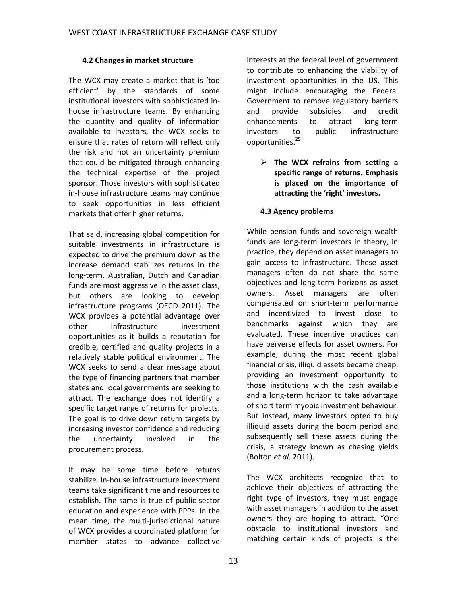#### **4.2 Changes in market structure**

The WCX may create a market that is 'too efficient' by the standards of some institutional investors with sophisticated inhouse infrastructure teams. By enhancing the quantity and quality of information available to investors, the WCX seeks to ensure that rates of return will reflect only the risk and not an uncertainty premium that could be mitigated through enhancing the technical expertise of the project sponsor. Those investors with sophisticated in-house infrastructure teams may continue to seek opportunities in less efficient markets that offer higher returns.

That said, increasing global competition for suitable investments in infrastructure is expected to drive the premium down as the increase demand stabilizes returns in the long-term. Australian, Dutch and Canadian funds are most aggressive in the asset class, but others are looking to develop infrastructure programs (OECD 2011). The WCX provides a potential advantage over other infrastructure investment opportunities as it builds a reputation for credible, certified and quality projects in a relatively stable political environment. The WCX seeks to send a clear message about the type of financing partners that member states and local governments are seeking to attract. The exchange does not identify a specific target range of returns for projects. The goal is to drive down return targets by increasing investor confidence and reducing the uncertainty involved in the procurement process.

It may be some time before returns stabilize. In-house infrastructure investment teams take significant time and resources to establish. The same is true of public sector education and experience with PPPs. In the mean time, the multi-jurisdictional nature of WCX provides a coordinated platform for member states to advance collective

interests at the federal level of government to contribute to enhancing the viability of investment opportunities in the US. This might include encouraging the Federal Government to remove regulatory barriers and provide subsidies and credit enhancements to attract long-term investors to public infrastructure opportunities.<sup>25</sup>

 **The WCX refrains from setting a specific range of returns. Emphasis is placed on the importance of attracting the 'right' investors.**

#### **4.3 Agency problems**

While pension funds and sovereign wealth funds are long-term investors in theory, in practice, they depend on asset managers to gain access to infrastructure. These asset managers often do not share the same objectives and long-term horizons as asset owners. Asset managers are often compensated on short-term performance and incentivized to invest close to benchmarks against which they are evaluated. These incentive practices can have perverse effects for asset owners. For example, during the most recent global financial crisis, illiquid assets became cheap, providing an investment opportunity to those institutions with the cash available and a long-term horizon to take advantage of short term myopic investment behaviour. But instead, many investors opted to buy illiquid assets during the boom period and subsequently sell these assets during the crisis, a strategy known as chasing yields (Bolton *et al*. 2011).

The WCX architects recognize that to achieve their objectives of attracting the right type of investors, they must engage with asset managers in addition to the asset owners they are hoping to attract. "One obstacle to institutional investors and matching certain kinds of projects is the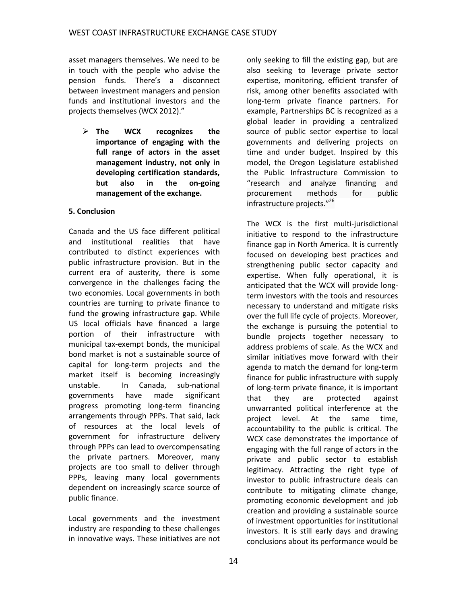asset managers themselves. We need to be in touch with the people who advise the pension funds. There's a disconnect between investment managers and pension funds and institutional investors and the projects themselves (WCX 2012)."

 **The WCX recognizes the importance of engaging with the full range of actors in the asset management industry, not only in developing certification standards, but also in the on-going management of the exchange.**

#### **5. Conclusion**

Canada and the US face different political and institutional realities that have contributed to distinct experiences with public infrastructure provision. But in the current era of austerity, there is some convergence in the challenges facing the two economies. Local governments in both countries are turning to private finance to fund the growing infrastructure gap. While US local officials have financed a large portion of their infrastructure with municipal tax-exempt bonds, the municipal bond market is not a sustainable source of capital for long-term projects and the market itself is becoming increasingly unstable. In Canada, sub-national governments have made significant progress promoting long-term financing arrangements through PPPs. That said, lack of resources at the local levels of government for infrastructure delivery through PPPs can lead to overcompensating the private partners. Moreover, many projects are too small to deliver through PPPs, leaving many local governments dependent on increasingly scarce source of public finance.

Local governments and the investment industry are responding to these challenges in innovative ways. These initiatives are not

only seeking to fill the existing gap, but are also seeking to leverage private sector expertise, monitoring, efficient transfer of risk, among other benefits associated with long-term private finance partners. For example, Partnerships BC is recognized as a global leader in providing a centralized source of public sector expertise to local governments and delivering projects on time and under budget. Inspired by this model, the Oregon Legislature established the Public Infrastructure Commission to "research and analyze financing and procurement methods for public infrastructure projects." 26

The WCX is the first multi-jurisdictional initiative to respond to the infrastructure finance gap in North America. It is currently focused on developing best practices and strengthening public sector capacity and expertise. When fully operational, it is anticipated that the WCX will provide longterm investors with the tools and resources necessary to understand and mitigate risks over the full life cycle of projects. Moreover, the exchange is pursuing the potential to bundle projects together necessary to address problems of scale. As the WCX and similar initiatives move forward with their agenda to match the demand for long-term finance for public infrastructure with supply of long-term private finance, it is important that they are protected against unwarranted political interference at the project level. At the same time, accountability to the public is critical. The WCX case demonstrates the importance of engaging with the full range of actors in the private and public sector to establish legitimacy. Attracting the right type of investor to public infrastructure deals can contribute to mitigating climate change, promoting economic development and job creation and providing a sustainable source of investment opportunities for institutional investors. It is still early days and drawing conclusions about its performance would be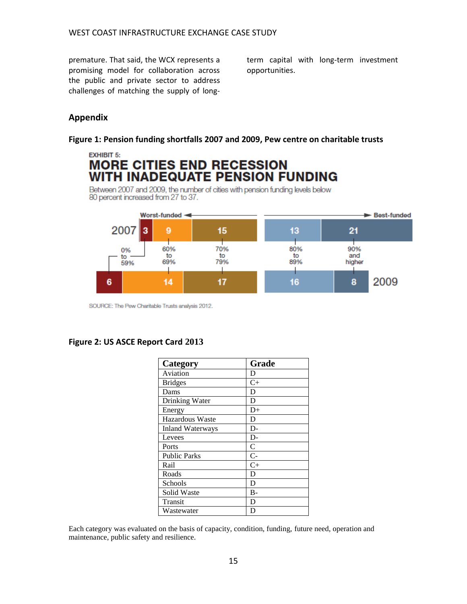premature. That said, the WCX represents a promising model for collaboration across the public and private sector to address challenges of matching the supply of longterm capital with long-term investment opportunities.

## **Appendix**

#### **Figure 1: Pension funding shortfalls 2007 and 2009, Pew centre on charitable trusts**

# **EXHIBIT 5: MORE CITIES END RECESSION WITH INADEQUATE PENSION FUNDING**

Between 2007 and 2009, the number of cities with pension funding levels below 80 percent increased from 27 to 37.



SOURCE: The Pew Charitable Trusts analysis 2012.

#### **Figure 2: US ASCE Report Card 2013**

| Category               | Grade         |
|------------------------|---------------|
| Aviation               | D             |
| <b>Bridges</b>         | $C+$          |
| Dams                   | D             |
| Drinking Water         | D             |
| Energy                 | $D+$          |
| <b>Hazardous Waste</b> | D             |
| Inland Waterways       | D-            |
| Levees                 | D-            |
| Ports                  | $\mathcal{C}$ |
| <b>Public Parks</b>    | $C-$          |
| Rail                   | $C+$          |
| Roads                  | D             |
| Schools                | D             |
| Solid Waste            | $B-$          |
| Transit                | D             |
| Wastewater             | D             |

Each category was evaluated on the basis of capacity, condition, funding, future need, operation and maintenance, public safety and resilience.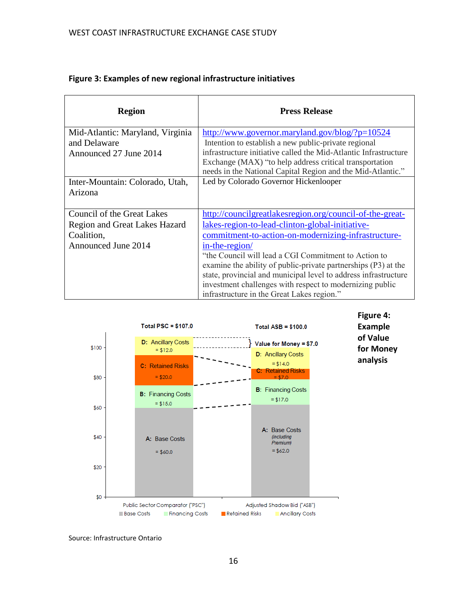| <b>Region</b>                        | <b>Press Release</b>                                                                                                   |
|--------------------------------------|------------------------------------------------------------------------------------------------------------------------|
| Mid-Atlantic: Maryland, Virginia     | http://www.governor.maryland.gov/blog/?p=10524                                                                         |
| and Delaware                         | Intention to establish a new public-private regional                                                                   |
| Announced 27 June 2014               | infrastructure initiative called the Mid-Atlantic Infrastructure                                                       |
|                                      | Exchange (MAX) "to help address critical transportation<br>needs in the National Capital Region and the Mid-Atlantic." |
| Inter-Mountain: Colorado, Utah,      | Led by Colorado Governor Hickenlooper                                                                                  |
| Arizona                              |                                                                                                                        |
| Council of the Great Lakes           | http://councilgreatlakesregion.org/council-of-the-great-                                                               |
| <b>Region and Great Lakes Hazard</b> | lakes-region-to-lead-clinton-global-initiative-                                                                        |
| Coalition,                           | commitment-to-action-on-modernizing-infrastructure-                                                                    |
| Announced June 2014                  | in-the-region/                                                                                                         |
|                                      | "the Council will lead a CGI Commitment to Action to                                                                   |
|                                      | examine the ability of public-private partnerships (P3) at the                                                         |
|                                      | state, provincial and municipal level to address infrastructure                                                        |
|                                      | investment challenges with respect to modernizing public                                                               |
|                                      | infrastructure in the Great Lakes region."                                                                             |

#### **Figure 3: Examples of new regional infrastructure initiatives**



**Figure 4: Example of Value for Money analysis**

Source: Infrastructure Ontario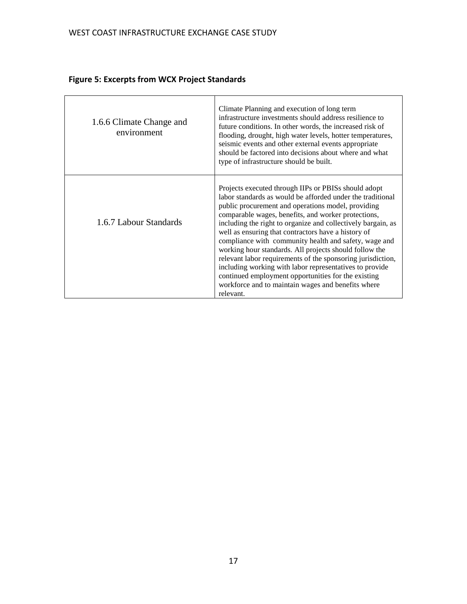| 1.6.6 Climate Change and<br>environment | Climate Planning and execution of long term<br>infrastructure investments should address resilience to<br>future conditions. In other words, the increased risk of<br>flooding, drought, high water levels, hotter temperatures,<br>seismic events and other external events appropriate<br>should be factored into decisions about where and what<br>type of infrastructure should be built.                                                                                                                                                                                                                                                                                                                                 |
|-----------------------------------------|-------------------------------------------------------------------------------------------------------------------------------------------------------------------------------------------------------------------------------------------------------------------------------------------------------------------------------------------------------------------------------------------------------------------------------------------------------------------------------------------------------------------------------------------------------------------------------------------------------------------------------------------------------------------------------------------------------------------------------|
| 1.6.7 Labour Standards                  | Projects executed through IIPs or PBISs should adopt<br>labor standards as would be afforded under the traditional<br>public procurement and operations model, providing<br>comparable wages, benefits, and worker protections,<br>including the right to organize and collectively bargain, as<br>well as ensuring that contractors have a history of<br>compliance with community health and safety, wage and<br>working hour standards. All projects should follow the<br>relevant labor requirements of the sponsoring jurisdiction,<br>including working with labor representatives to provide<br>continued employment opportunities for the existing<br>workforce and to maintain wages and benefits where<br>relevant. |

# **Figure 5: Excerpts from WCX Project Standards**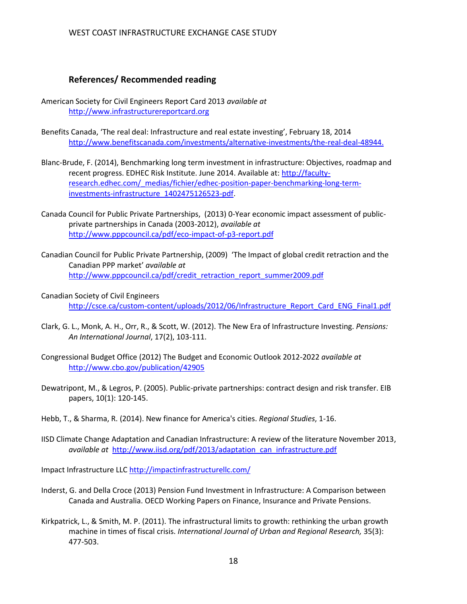#### **References/ Recommended reading**

- American Society for Civil Engineers Report Card 2013 *available at* [http://www.infrastructurereportcard.org](http://www.infrastructurereportcard.org/)
- Benefits Canada, 'The real deal: Infrastructure and real estate investing', February 18, 2014 [http://www.benefitscanada.com/investments/alternative-investments/the-real-deal-48944.](http://www.benefitscanada.com/investments/alternative-investments/the-real-deal-48944)
- Blanc-Brude, F. (2014), Benchmarking long term investment in infrastructure: Objectives, roadmap and recent progress. EDHEC Risk Institute. June 2014. Available at: [http://faculty](http://faculty-research.edhec.com/_medias/fichier/edhec-position-paper-benchmarking-long-term-investments-infrastructure_1402475126523-pdf)[research.edhec.com/\\_medias/fichier/edhec-position-paper-benchmarking-long-term](http://faculty-research.edhec.com/_medias/fichier/edhec-position-paper-benchmarking-long-term-investments-infrastructure_1402475126523-pdf)[investments-infrastructure\\_1402475126523-pdf.](http://faculty-research.edhec.com/_medias/fichier/edhec-position-paper-benchmarking-long-term-investments-infrastructure_1402475126523-pdf)
- Canada Council for Public Private Partnerships, (2013) 0-Year economic impact assessment of publicprivate partnerships in Canada (2003-2012), *available at* <http://www.pppcouncil.ca/pdf/eco-impact-of-p3-report.pdf>
- Canadian Council for Public Private Partnership, (2009) 'The Impact of global credit retraction and the Canadian PPP market' *available at*  [http://www.pppcouncil.ca/pdf/credit\\_retraction\\_report\\_summer2009.pdf](http://www.pppcouncil.ca/pdf/credit_retraction_report_summer2009.pdf)
- Canadian Society of Civil Engineers [http://csce.ca/custom-content/uploads/2012/06/Infrastructure\\_Report\\_Card\\_ENG\\_Final1.pdf](http://csce.ca/custom-content/uploads/2012/06/Infrastructure_Report_Card_ENG_Final1.pdf)
- Clark, G. L., Monk, A. H., Orr, R., & Scott, W. (2012). The New Era of Infrastructure Investing. *Pensions: An International Journal*, 17(2), 103-111.
- Congressional Budget Office (2012) The Budget and Economic Outlook 2012-2022 *available at*  <http://www.cbo.gov/publication/42905>
- Dewatripont, M., & Legros, P. (2005). Public-private partnerships: contract design and risk transfer. EIB papers, 10(1): 120-145.
- Hebb, T., & Sharma, R. (2014). New finance for America's cities. *Regional Studies*, 1-16.
- IISD Climate Change Adaptation and Canadian Infrastructure: A review of the literature November 2013, *available at* [http://www.iisd.org/pdf/2013/adaptation\\_can\\_infrastructure.pdf](http://www.iisd.org/pdf/2013/adaptation_can_infrastructure.pdf)

Impact Infrastructure LL[C http://impactinfrastructurellc.com/](http://impactinfrastructurellc.com/) 

- Inderst, G. and Della Croce (2013) Pension Fund Investment in Infrastructure: A Comparison between Canada and Australia. OECD Working Papers on Finance, Insurance and Private Pensions.
- Kirkpatrick, L., & Smith, M. P. (2011). The infrastructural limits to growth: rethinking the urban growth machine in times of fiscal crisis. *International Journal of Urban and Regional Research,* 35(3): 477-503.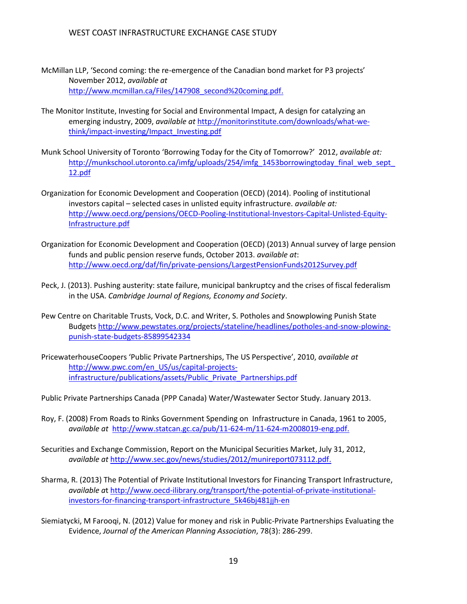- McMillan LLP, 'Second coming: the re-emergence of the Canadian bond market for P3 projects' November 2012, *available at* [http://www.mcmillan.ca/Files/147908\\_second%20coming.pdf.](http://www.mcmillan.ca/Files/147908_second%20coming.pdf)
- The Monitor Institute, Investing for Social and Environmental Impact, A design for catalyzing an emerging industry, 2009, *available at* [http://monitorinstitute.com/downloads/what-we](http://monitorinstitute.com/downloads/what-we-think/impact-investing/Impact_Investing.pdf)[think/impact-investing/Impact\\_Investing.pdf](http://monitorinstitute.com/downloads/what-we-think/impact-investing/Impact_Investing.pdf)
- Munk School University of Toronto 'Borrowing Today for the City of Tomorrow?' 2012, *available at:* http://munkschool.utoronto.ca/imfg/uploads/254/imfg\_1453borrowingtoday\_final\_web\_sept [12.pdf](http://munkschool.utoronto.ca/imfg/uploads/254/imfg_1453borrowingtoday_final_web_sept_12.pdf)
- Organization for Economic Development and Cooperation (OECD) (2014). Pooling of institutional investors capital – selected cases in unlisted equity infrastructure. *available at:* [http://www.oecd.org/pensions/OECD-Pooling-Institutional-Investors-Capital-Unlisted-Equity-](http://www.oecd.org/pensions/OECD-Pooling-Institutional-Investors-Capital-Unlisted-Equity-Infrastructure.pdf)[Infrastructure.pdf](http://www.oecd.org/pensions/OECD-Pooling-Institutional-Investors-Capital-Unlisted-Equity-Infrastructure.pdf)
- Organization for Economic Development and Cooperation (OECD) (2013) Annual survey of large pension funds and public pension reserve funds, October 2013. *available at*: <http://www.oecd.org/daf/fin/private-pensions/LargestPensionFunds2012Survey.pdf>
- Peck, J. (2013). Pushing austerity: state failure, municipal bankruptcy and the crises of fiscal federalism in the USA. *Cambridge Journal of Regions, Economy and Society*.
- Pew Centre on Charitable Trusts, Vock, D.C. and Writer, S. Potholes and Snowplowing Punish State Budget[s http://www.pewstates.org/projects/stateline/headlines/potholes-and-snow-plowing](http://www.pewstates.org/projects/stateline/headlines/potholes-and-snow-plowing-punish-state-budgets-85899542334)[punish-state-budgets-85899542334](http://www.pewstates.org/projects/stateline/headlines/potholes-and-snow-plowing-punish-state-budgets-85899542334)
- PricewaterhouseCoopers 'Public Private Partnerships, The US Perspective', 2010, *available at*  [http://www.pwc.com/en\\_US/us/capital-projects](http://www.pwc.com/en_US/us/capital-projects-infrastructure/publications/assets/Public_Private_Partnerships.pdf)[infrastructure/publications/assets/Public\\_Private\\_Partnerships.pdf](http://www.pwc.com/en_US/us/capital-projects-infrastructure/publications/assets/Public_Private_Partnerships.pdf)

Public Private Partnerships Canada (PPP Canada) Water/Wastewater Sector Study. January 2013.

- Roy, F. (2008) From Roads to Rinks Government Spending on Infrastructure in Canada, 1961 to 2005, *available at* [http://www.statcan.gc.ca/pub/11-624-m/11-624-m2008019-eng.pdf.](http://www.statcan.gc.ca/pub/11-624-m/11-624-m2008019-eng.pdf)
- Securities and Exchange Commission, Report on the Municipal Securities Market, July 31, 2012, *available at* [http://www.sec.gov/news/studies/2012/munireport073112.pdf.](http://www.sec.gov/news/studies/2012/munireport073112.pdf)
- Sharma, R. (2013) The Potential of Private Institutional Investors for Financing Transport Infrastructure, *available a*t [http://www.oecd-ilibrary.org/transport/the-potential-of-private-institutional](http://www.oecd-ilibrary.org/transport/the-potential-of-private-institutional-investors-for-financing-transport-infrastructure_5k46bj481jjh-en)[investors-for-financing-transport-infrastructure\\_5k46bj481jjh-en](http://www.oecd-ilibrary.org/transport/the-potential-of-private-institutional-investors-for-financing-transport-infrastructure_5k46bj481jjh-en)
- Siemiatycki, M Farooqi, N. (2012) Value for money and risk in Public-Private Partnerships Evaluating the Evidence, *Journal of the American Planning Association*, 78(3): 286-299.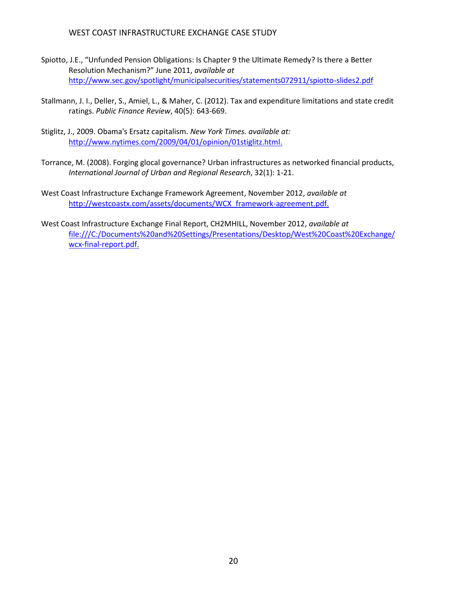#### WEST COAST INFRASTRUCTURE EXCHANGE CASE STUDY

- Spiotto, J.E., "Unfunded Pension Obligations: Is Chapter 9 the Ultimate Remedy? Is there a Better Resolution Mechanism?" June 2011, *available at*  <http://www.sec.gov/spotlight/municipalsecurities/statements072911/spiotto-slides2.pdf>
- Stallmann, J. I., Deller, S., Amiel, L., & Maher, C. (2012). Tax and expenditure limitations and state credit ratings. *Public Finance Review*, 40(5): 643-669.
- Stiglitz, J., 2009. Obama's Ersatz capitalism. *New York Times. available at:*  [http://www.nytimes.com/2009/04/01/opinion/01stiglitz.html.](http://www.nytimes.com/2009/04/01/opinion/01stiglitz.html)
- Torrance, M. (2008). Forging glocal governance? Urban infrastructures as networked financial products, *International Journal of Urban and Regional Research*, 32(1): 1-21.
- West Coast Infrastructure Exchange Framework Agreement, November 2012, *available at* [http://westcoastx.com/assets/documents/WCX\\_framework-agreement.pdf.](http://westcoastx.com/assets/documents/WCX_framework-agreement.pdf)
- West Coast Infrastructure Exchange Final Report, CH2MHILL, November 2012, *available at* [file:///C:/Documents%20and%20Settings/Presentations/Desktop/West%20Coast%20Exchange/](file:///C:/Documents%20and%20Settings/Presentations/Desktop/West%20Coast%20Exchange/wcx-final-report.pdf) [wcx-final-report.pdf.](file:///C:/Documents%20and%20Settings/Presentations/Desktop/West%20Coast%20Exchange/wcx-final-report.pdf)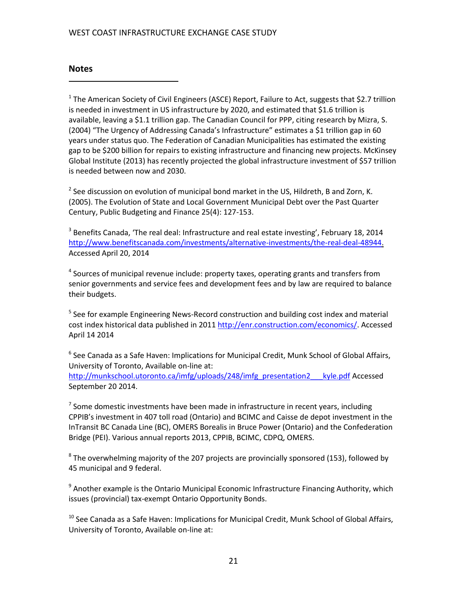#### WEST COAST INFRASTRUCTURE EXCHANGE CASE STUDY

#### **Notes**

 $\overline{a}$ 

<sup>1</sup> The American Society of Civil Engineers (ASCE) Report, Failure to Act, suggests that \$2.7 trillion is needed in investment in US infrastructure by 2020, and estimated that \$1.6 trillion is available, leaving a \$1.1 trillion gap. The Canadian Council for PPP, citing research by Mizra, S. (2004) "The Urgency of Addressing Canada's Infrastructure" estimates a \$1 trillion gap in 60 years under status quo. The Federation of Canadian Municipalities has estimated the existing gap to be \$200 billion for repairs to existing infrastructure and financing new projects. McKinsey Global Institute (2013) has recently projected the global infrastructure investment of \$57 trillion is needed between now and 2030.

 $^2$  See discussion on evolution of municipal bond market in the US, Hildreth, B and Zorn, K. (2005). The Evolution of State and Local Government Municipal Debt over the Past Quarter Century, Public Budgeting and Finance 25(4): 127-153.

 $3$  Benefits Canada, 'The real deal: Infrastructure and real estate investing', February 18, 2014 [http://www.benefitscanada.com/investments/alternative-investments/the-real-deal-48944.](http://www.benefitscanada.com/investments/alternative-investments/the-real-deal-48944) Accessed April 20, 2014

<sup>4</sup> Sources of municipal revenue include: property taxes, operating grants and transfers from senior governments and service fees and development fees and by law are required to balance their budgets.

<sup>5</sup> See for example Engineering News-Record construction and building cost index and material cost index historical data published in 201[1 http://enr.construction.com/economics/.](http://enr.construction.com/economics/) Accessed April 14 2014

 $^6$  See Canada as a Safe Haven: Implications for Municipal Credit, Munk School of Global Affairs, University of Toronto, Available on-line at: [http://munkschool.utoronto.ca/imfg/uploads/248/imfg\\_presentation2\\_\\_\\_kyle.pdf](http://munkschool.utoronto.ca/imfg/uploads/248/imfg_presentation2___kyle.pdf) Accessed September 20 2014.

 $7$  Some domestic investments have been made in infrastructure in recent years, including CPPIB's investment in 407 toll road (Ontario) and BCIMC and Caisse de depot investment in the InTransit BC Canada Line (BC), OMERS Borealis in Bruce Power (Ontario) and the Confederation Bridge (PEI). Various annual reports 2013, CPPIB, BCIMC, CDPQ, OMERS.

 $^8$  The overwhelming majority of the 207 projects are provincially sponsored (153), followed by 45 municipal and 9 federal.

<sup>9</sup> Another example is the Ontario Municipal Economic Infrastructure Financing Authority, which issues (provincial) tax-exempt Ontario Opportunity Bonds.

 $10$  See Canada as a Safe Haven: Implications for Municipal Credit, Munk School of Global Affairs, University of Toronto, Available on-line at: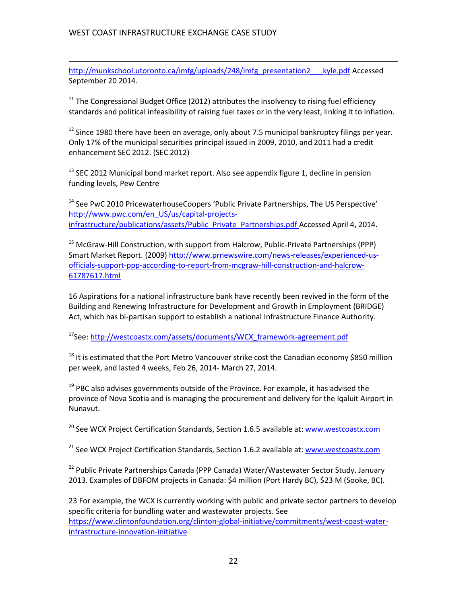$\overline{a}$ 

[http://munkschool.utoronto.ca/imfg/uploads/248/imfg\\_presentation2\\_\\_\\_kyle.pdf](http://munkschool.utoronto.ca/imfg/uploads/248/imfg_presentation2___kyle.pdf) Accessed September 20 2014.

 $11$  The Congressional Budget Office (2012) attributes the insolvency to rising fuel efficiency standards and political infeasibility of raising fuel taxes or in the very least, linking it to inflation.

 $12$  Since 1980 there have been on average, only about 7.5 municipal bankruptcy filings per year. Only 17% of the municipal securities principal issued in 2009, 2010, and 2011 had a credit enhancement SEC 2012. (SEC 2012)

<sup>13</sup> SEC 2012 Municipal bond market report. Also see appendix figure 1, decline in pension funding levels, Pew Centre

<sup>14</sup> See PwC 2010 PricewaterhouseCoopers 'Public Private Partnerships, The US Perspective' [http://www.pwc.com/en\\_US/us/capital-projects](http://www.pwc.com/en_US/us/capital-projects-infrastructure/publications/assets/Public_Private_Partnerships.pdf)[infrastructure/publications/assets/Public\\_Private\\_Partnerships.pdf](http://www.pwc.com/en_US/us/capital-projects-infrastructure/publications/assets/Public_Private_Partnerships.pdf) Accessed April 4, 2014.

 $15$  McGraw-Hill Construction, with support from Halcrow, Public-Private Partnerships (PPP) Smart Market Report. (2009) [http://www.prnewswire.com/news-releases/experienced-us](http://www.prnewswire.com/news-releases/experienced-us-officials-support-ppp-according-to-report-from-mcgraw-hill-construction-and-halcrow-61787617.html)[officials-support-ppp-according-to-report-from-mcgraw-hill-construction-and-halcrow-](http://www.prnewswire.com/news-releases/experienced-us-officials-support-ppp-according-to-report-from-mcgraw-hill-construction-and-halcrow-61787617.html)[61787617.html](http://www.prnewswire.com/news-releases/experienced-us-officials-support-ppp-according-to-report-from-mcgraw-hill-construction-and-halcrow-61787617.html) 

16 Aspirations for a national infrastructure bank have recently been revived in the form of the Building and Renewing Infrastructure for Development and Growth in Employment (BRIDGE) Act, which has bi-partisan support to establish a national Infrastructure Finance Authority.

<sup>17</sup>See: [http://westcoastx.com/assets/documents/WCX\\_framework-agreement.pdf](http://westcoastx.com/assets/documents/WCX_framework-agreement.pdf)

 $18$  It is estimated that the Port Metro Vancouver strike cost the Canadian economy \$850 million per week, and lasted 4 weeks, Feb 26, 2014- March 27, 2014.

 $19$  PBC also advises governments outside of the Province. For example, it has advised the province of Nova Scotia and is managing the procurement and delivery for the Iqaluit Airport in Nunavut.

<sup>20</sup> See WCX Project Certification Standards, Section 1.6.5 available at: www.westcoastx.com

 $21$  See WCX Project Certification Standards, Section 1.6.2 available at: www.westcoastx.com

<sup>22</sup> Public Private Partnerships Canada (PPP Canada) Water/Wastewater Sector Study. January 2013. Examples of DBFOM projects in Canada: \$4 million (Port Hardy BC), \$23 M (Sooke, BC).

23 For example, the WCX is currently working with public and private sector partners to develop specific criteria for bundling water and wastewater projects. See [https://www.clintonfoundation.org/clinton-global-initiative/commitments/west-coast-water](https://www.clintonfoundation.org/clinton-global-initiative/commitments/west-coast-water-infrastructure-innovation-initiative)[infrastructure-innovation-initiative](https://www.clintonfoundation.org/clinton-global-initiative/commitments/west-coast-water-infrastructure-innovation-initiative)